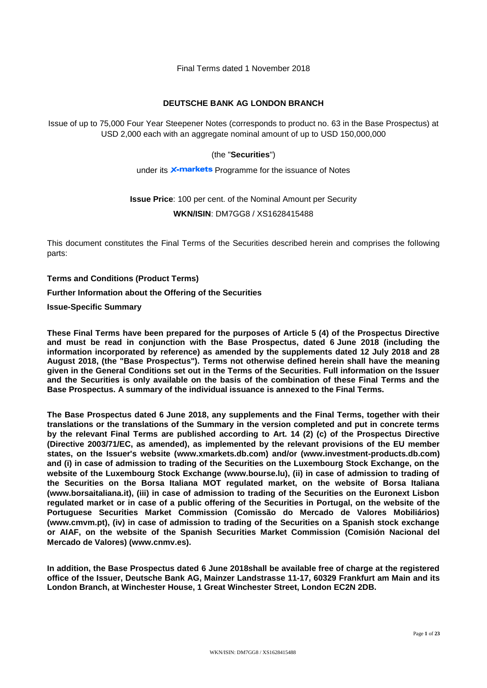Final Terms dated 1 November 2018

## **DEUTSCHE BANK AG LONDON BRANCH**

Issue of up to 75,000 Four Year Steepener Notes (corresponds to product no. 63 in the Base Prospectus) at USD 2,000 each with an aggregate nominal amount of up to USD 150,000,000

## (the "**Securities**")

under its **x-markets** Programme for the issuance of Notes

## **Issue Price**: 100 per cent. of the Nominal Amount per Security **WKN/ISIN**: DM7GG8 / XS1628415488

This document constitutes the Final Terms of the Securities described herein and comprises the following parts:

**Terms and Conditions (Product Terms)**

**Further Information about the Offering of the Securities**

**Issue-Specific Summary**

**These Final Terms have been prepared for the purposes of Article 5 (4) of the Prospectus Directive and must be read in conjunction with the Base Prospectus, dated 6 June 2018 (including the information incorporated by reference) as amended by the supplements dated 12 July 2018 and 28 August 2018, (the "Base Prospectus"). Terms not otherwise defined herein shall have the meaning given in the General Conditions set out in the Terms of the Securities. Full information on the Issuer and the Securities is only available on the basis of the combination of these Final Terms and the Base Prospectus. A summary of the individual issuance is annexed to the Final Terms.**

**The Base Prospectus dated 6 June 2018, any supplements and the Final Terms, together with their translations or the translations of the Summary in the version completed and put in concrete terms by the relevant Final Terms are published according to Art. 14 (2) (c) of the Prospectus Directive (Directive 2003/71/EC, as amended), as implemented by the relevant provisions of the EU member states, on the Issuer's website [\(www.xmarkets.db.com\)](http://www.xmarkets.db.com/) and/or (www.investment-products.db.com) and (i) in case of admission to trading of the Securities on the Luxembourg Stock Exchange, on the website of the Luxembourg Stock Exchange (www.bourse.lu), (ii) in case of admission to trading of the Securities on the Borsa Italiana MOT regulated market, on the website of Borsa Italiana (www.borsaitaliana.it), (iii) in case of admission to trading of the Securities on the Euronext Lisbon regulated market or in case of a public offering of the Securities in Portugal, on the website of the Portuguese Securities Market Commission (Comissão do Mercado de Valores Mobiliários) (www.cmvm.pt), (iv) in case of admission to trading of the Securities on a Spanish stock exchange or AIAF, on the website of the Spanish Securities Market Commission (Comisión Nacional del Mercado de Valores) (www.cnmv.es).** 

**In addition, the Base Prospectus dated 6 June 2018shall be available free of charge at the registered office of the Issuer, Deutsche Bank AG, Mainzer Landstrasse 11-17, 60329 Frankfurt am Main and its London Branch, at Winchester House, 1 Great Winchester Street, London EC2N 2DB.**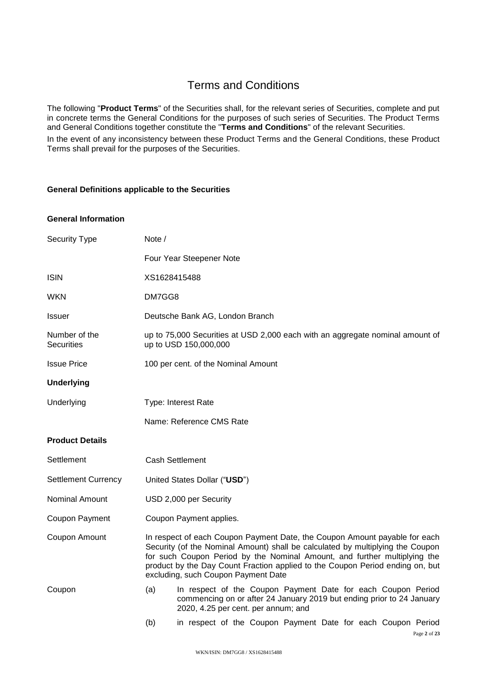# Terms and Conditions

The following "**Product Terms**" of the Securities shall, for the relevant series of Securities, complete and put in concrete terms the General Conditions for the purposes of such series of Securities. The Product Terms and General Conditions together constitute the "**Terms and Conditions**" of the relevant Securities.

In the event of any inconsistency between these Product Terms and the General Conditions, these Product Terms shall prevail for the purposes of the Securities.

## **General Definitions applicable to the Securities**

#### **General Information**

| <b>Security Type</b>        | Note /                                                                                                                                                                                                                                                                                                                                                            |  |
|-----------------------------|-------------------------------------------------------------------------------------------------------------------------------------------------------------------------------------------------------------------------------------------------------------------------------------------------------------------------------------------------------------------|--|
|                             | Four Year Steepener Note                                                                                                                                                                                                                                                                                                                                          |  |
| <b>ISIN</b>                 | XS1628415488                                                                                                                                                                                                                                                                                                                                                      |  |
| WKN                         | DM7GG8                                                                                                                                                                                                                                                                                                                                                            |  |
| Issuer                      | Deutsche Bank AG, London Branch                                                                                                                                                                                                                                                                                                                                   |  |
| Number of the<br>Securities | up to 75,000 Securities at USD 2,000 each with an aggregate nominal amount of<br>up to USD 150,000,000                                                                                                                                                                                                                                                            |  |
| <b>Issue Price</b>          | 100 per cent. of the Nominal Amount                                                                                                                                                                                                                                                                                                                               |  |
| <b>Underlying</b>           |                                                                                                                                                                                                                                                                                                                                                                   |  |
| Underlying                  | Type: Interest Rate                                                                                                                                                                                                                                                                                                                                               |  |
|                             | Name: Reference CMS Rate                                                                                                                                                                                                                                                                                                                                          |  |
| <b>Product Details</b>      |                                                                                                                                                                                                                                                                                                                                                                   |  |
| Settlement                  | <b>Cash Settlement</b>                                                                                                                                                                                                                                                                                                                                            |  |
| <b>Settlement Currency</b>  | United States Dollar ("USD")                                                                                                                                                                                                                                                                                                                                      |  |
| Nominal Amount              | USD 2,000 per Security                                                                                                                                                                                                                                                                                                                                            |  |
| Coupon Payment              | Coupon Payment applies.                                                                                                                                                                                                                                                                                                                                           |  |
| Coupon Amount               | In respect of each Coupon Payment Date, the Coupon Amount payable for each<br>Security (of the Nominal Amount) shall be calculated by multiplying the Coupon<br>for such Coupon Period by the Nominal Amount, and further multiplying the<br>product by the Day Count Fraction applied to the Coupon Period ending on, but<br>excluding, such Coupon Payment Date |  |
| Coupon                      | In respect of the Coupon Payment Date for each Coupon Period<br>(a)<br>commencing on or after 24 January 2019 but ending prior to 24 January<br>2020, 4.25 per cent. per annum; and                                                                                                                                                                               |  |
|                             | (b)<br>in respect of the Coupon Payment Date for each Coupon Period<br>Page 2 of 23                                                                                                                                                                                                                                                                               |  |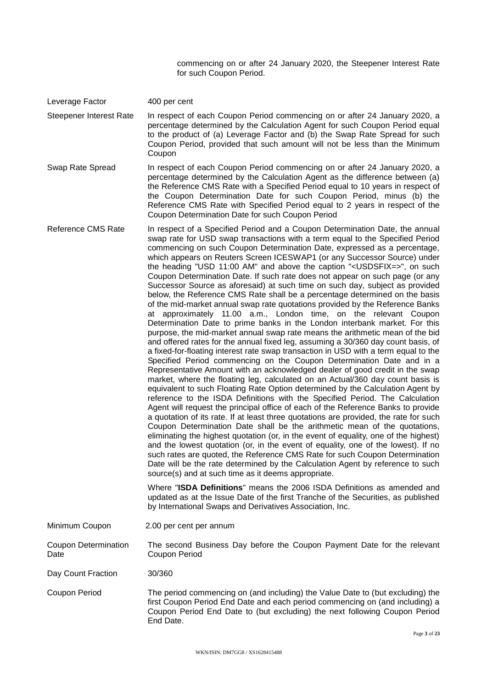commencing on or after 24 January 2020, the Steepener Interest Rate for such Coupon Period.

Leverage Factor 400 per cent

Steepener Interest Rate In respect of each Coupon Period commencing on or after 24 January 2020, a percentage determined by the Calculation Agent for such Coupon Period equal to the product of (a) Leverage Factor and (b) the Swap Rate Spread for such Coupon Period, provided that such amount will not be less than the Minimum Coupon

- Swap Rate Spread In respect of each Coupon Period commencing on or after 24 January 2020, a percentage determined by the Calculation Agent as the difference between (a) the Reference CMS Rate with a Specified Period equal to 10 years in respect of the Coupon Determination Date for such Coupon Period, minus (b) the Reference CMS Rate with Specified Period equal to 2 years in respect of the Coupon Determination Date for such Coupon Period
- Reference CMS Rate In respect of a Specified Period and a Coupon Determination Date, the annual swap rate for USD swap transactions with a term equal to the Specified Period commencing on such Coupon Determination Date, expressed as a percentage, which appears on Reuters Screen ICESWAP1 (or any Successor Source) under the heading "USD 11:00 AM" and above the caption "<USDSFIX=>", on such Coupon Determination Date. If such rate does not appear on such page (or any Successor Source as aforesaid) at such time on such day, subject as provided below, the Reference CMS Rate shall be a percentage determined on the basis of the mid-market annual swap rate quotations provided by the Reference Banks at approximately 11.00 a.m., London time, on the relevant Coupon Determination Date to prime banks in the London interbank market. For this purpose, the mid-market annual swap rate means the arithmetic mean of the bid and offered rates for the annual fixed leg, assuming a 30/360 day count basis, of a fixed-for-floating interest rate swap transaction in USD with a term equal to the Specified Period commencing on the Coupon Determination Date and in a Representative Amount with an acknowledged dealer of good credit in the swap market, where the floating leg, calculated on an Actual/360 day count basis is equivalent to such Floating Rate Option determined by the Calculation Agent by reference to the ISDA Definitions with the Specified Period. The Calculation Agent will request the principal office of each of the Reference Banks to provide a quotation of its rate. If at least three quotations are provided, the rate for such Coupon Determination Date shall be the arithmetic mean of the quotations, eliminating the highest quotation (or, in the event of equality, one of the highest) and the lowest quotation (or, in the event of equality, one of the lowest). If no such rates are quoted, the Reference CMS Rate for such Coupon Determination Date will be the rate determined by the Calculation Agent by reference to such source(s) and at such time as it deems appropriate.

Where "**ISDA Definitions**" means the 2006 ISDA Definitions as amended and updated as at the Issue Date of the first Tranche of the Securities, as published by International Swaps and Derivatives Association, Inc.

Minimum Coupon 2.00 per cent per annum

Coupon Determination **Date** The second Business Day before the Coupon Payment Date for the relevant Coupon Period

Day Count Fraction 30/360

Coupon Period The period commencing on (and including) the Value Date to (but excluding) the first Coupon Period End Date and each period commencing on (and including) a Coupon Period End Date to (but excluding) the next following Coupon Period End Date.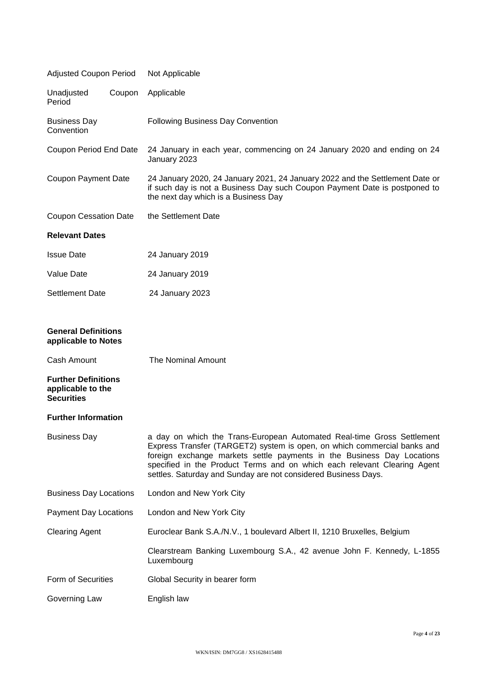| <b>Adjusted Coupon Period</b>                                                                                                            | Not Applicable                                                                                                                                                                                                                                                                                                                                                             |  |  |
|------------------------------------------------------------------------------------------------------------------------------------------|----------------------------------------------------------------------------------------------------------------------------------------------------------------------------------------------------------------------------------------------------------------------------------------------------------------------------------------------------------------------------|--|--|
| Unadjusted<br>Coupon<br>Period                                                                                                           | Applicable                                                                                                                                                                                                                                                                                                                                                                 |  |  |
| <b>Business Day</b><br>Convention                                                                                                        | <b>Following Business Day Convention</b>                                                                                                                                                                                                                                                                                                                                   |  |  |
| Coupon Period End Date                                                                                                                   | 24 January in each year, commencing on 24 January 2020 and ending on 24<br>January 2023                                                                                                                                                                                                                                                                                    |  |  |
| <b>Coupon Payment Date</b>                                                                                                               | 24 January 2020, 24 January 2021, 24 January 2022 and the Settlement Date or<br>if such day is not a Business Day such Coupon Payment Date is postponed to<br>the next day which is a Business Day                                                                                                                                                                         |  |  |
| <b>Coupon Cessation Date</b>                                                                                                             | the Settlement Date                                                                                                                                                                                                                                                                                                                                                        |  |  |
| <b>Relevant Dates</b>                                                                                                                    |                                                                                                                                                                                                                                                                                                                                                                            |  |  |
| <b>Issue Date</b>                                                                                                                        | 24 January 2019                                                                                                                                                                                                                                                                                                                                                            |  |  |
| Value Date                                                                                                                               | 24 January 2019                                                                                                                                                                                                                                                                                                                                                            |  |  |
| <b>Settlement Date</b>                                                                                                                   | 24 January 2023                                                                                                                                                                                                                                                                                                                                                            |  |  |
| <b>General Definitions</b><br>applicable to Notes<br>Cash Amount<br><b>Further Definitions</b><br>applicable to the<br><b>Securities</b> | The Nominal Amount                                                                                                                                                                                                                                                                                                                                                         |  |  |
| <b>Further Information</b>                                                                                                               |                                                                                                                                                                                                                                                                                                                                                                            |  |  |
| <b>Business Day</b>                                                                                                                      | a day on which the Trans-European Automated Real-time Gross Settlement<br>Express Transfer (TARGET2) system is open, on which commercial banks and<br>foreign exchange markets settle payments in the Business Day Locations<br>specified in the Product Terms and on which each relevant Clearing Agent<br>settles. Saturday and Sunday are not considered Business Days. |  |  |
| <b>Business Day Locations</b>                                                                                                            | London and New York City                                                                                                                                                                                                                                                                                                                                                   |  |  |
| <b>Payment Day Locations</b>                                                                                                             | London and New York City                                                                                                                                                                                                                                                                                                                                                   |  |  |
| <b>Clearing Agent</b>                                                                                                                    | Euroclear Bank S.A./N.V., 1 boulevard Albert II, 1210 Bruxelles, Belgium                                                                                                                                                                                                                                                                                                   |  |  |
|                                                                                                                                          | Clearstream Banking Luxembourg S.A., 42 avenue John F. Kennedy, L-1855<br>Luxembourg                                                                                                                                                                                                                                                                                       |  |  |
| Form of Securities                                                                                                                       | Global Security in bearer form                                                                                                                                                                                                                                                                                                                                             |  |  |
| Governing Law                                                                                                                            | English law                                                                                                                                                                                                                                                                                                                                                                |  |  |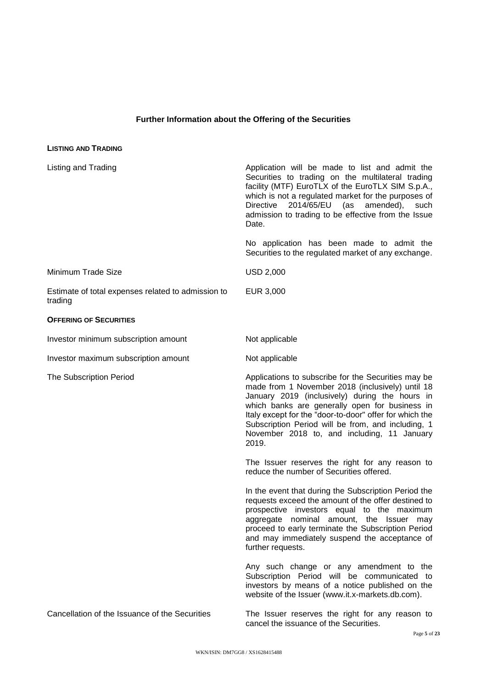## **Further Information about the Offering of the Securities**

| <b>LISTING AND TRADING</b>                                    |                                                                                                                                                                                                                                                                                                                                                                                      |
|---------------------------------------------------------------|--------------------------------------------------------------------------------------------------------------------------------------------------------------------------------------------------------------------------------------------------------------------------------------------------------------------------------------------------------------------------------------|
| Listing and Trading                                           | Application will be made to list and admit the<br>Securities to trading on the multilateral trading<br>facility (MTF) EuroTLX of the EuroTLX SIM S.p.A.,<br>which is not a regulated market for the purposes of<br>2014/65/EU<br>(as<br>Directive<br>amended),<br>such<br>admission to trading to be effective from the Issue<br>Date.                                               |
|                                                               | No application has been made to admit the<br>Securities to the regulated market of any exchange.                                                                                                                                                                                                                                                                                     |
| Minimum Trade Size                                            | <b>USD 2,000</b>                                                                                                                                                                                                                                                                                                                                                                     |
| Estimate of total expenses related to admission to<br>trading | EUR 3,000                                                                                                                                                                                                                                                                                                                                                                            |
| <b>OFFERING OF SECURITIES</b>                                 |                                                                                                                                                                                                                                                                                                                                                                                      |
| Investor minimum subscription amount                          | Not applicable                                                                                                                                                                                                                                                                                                                                                                       |
| Investor maximum subscription amount                          | Not applicable                                                                                                                                                                                                                                                                                                                                                                       |
| The Subscription Period                                       | Applications to subscribe for the Securities may be<br>made from 1 November 2018 (inclusively) until 18<br>January 2019 (inclusively) during the hours in<br>which banks are generally open for business in<br>Italy except for the "door-to-door" offer for which the<br>Subscription Period will be from, and including, 1<br>November 2018 to, and including, 11 January<br>2019. |
|                                                               | The Issuer reserves the right for any reason to<br>reduce the number of Securities offered.                                                                                                                                                                                                                                                                                          |
|                                                               | In the event that during the Subscription Period the<br>requests exceed the amount of the offer destined to<br>prospective investors equal to the maximum<br>aggregate nominal amount, the Issuer may<br>proceed to early terminate the Subscription Period<br>and may immediately suspend the acceptance of<br>further requests.                                                    |
|                                                               | Any such change or any amendment to the<br>Subscription Period will be communicated to<br>investors by means of a notice published on the<br>website of the Issuer (www.it.x-markets.db.com).                                                                                                                                                                                        |
| Cancellation of the Issuance of the Securities                | The Issuer reserves the right for any reason to<br>cancel the issuance of the Securities.                                                                                                                                                                                                                                                                                            |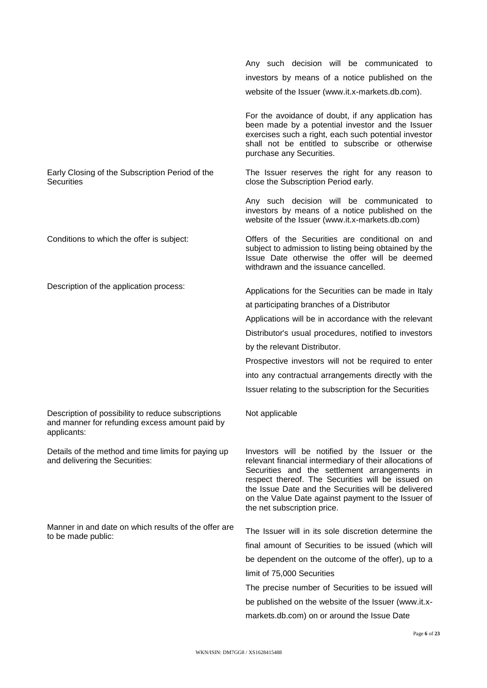Any such decision will be communicated to investors by means of a notice published on the website of the Issuer (www.it.x-markets.db.com). For the avoidance of doubt, if any application has been made by a potential investor and the Issuer exercises such a right, each such potential investor shall not be entitled to subscribe or otherwise purchase any Securities. Early Closing of the Subscription Period of the **Securities** The Issuer reserves the right for any reason to close the Subscription Period early. Any such decision will be communicated to investors by means of a notice published on the website of the Issuer (www.it.x-markets.db.com) Conditions to which the offer is subject: Offers of the Securities are conditional on and subject to admission to listing being obtained by the Issue Date otherwise the offer will be deemed withdrawn and the issuance cancelled. Description of the application process:<br>Applications for the Securities can be made in Italy at participating branches of a Distributor Applications will be in accordance with the relevant Distributor's usual procedures, notified to investors by the relevant Distributor. Prospective investors will not be required to enter into any contractual arrangements directly with the Issuer relating to the subscription for the Securities Description of possibility to reduce subscriptions and manner for refunding excess amount paid by applicants: Not applicable Details of the method and time limits for paying up and delivering the Securities: Investors will be notified by the Issuer or the relevant financial intermediary of their allocations of Securities and the settlement arrangements in respect thereof. The Securities will be issued on the Issue Date and the Securities will be delivered on the Value Date against payment to the Issuer of the net subscription price. Manner in and date on which results of the offer are wanner in and date on which results of the offer are The Issuer will in its sole discretion determine the to be made public: final amount of Securities to be issued (which will be dependent on the outcome of the offer), up to a limit of 75,000 Securities The precise number of Securities to be issued will be published on the website of the Issuer (www.it.xmarkets.db.com) on or around the Issue Date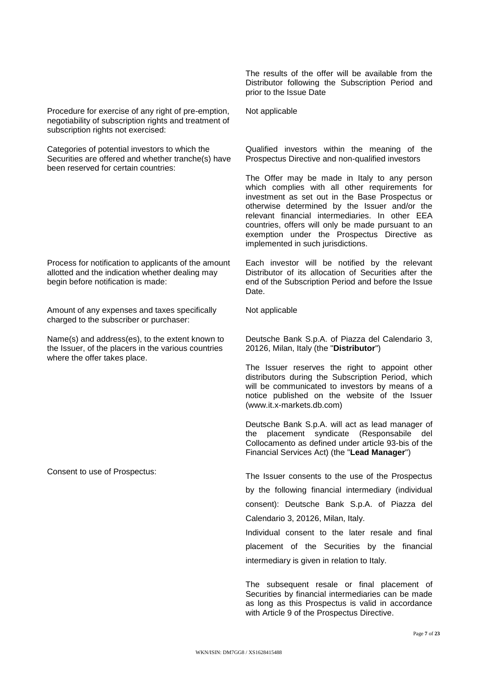Procedure for exercise of any right of pre-emption, negotiability of subscription rights and treatment of subscription rights not exercised:

Categories of potential investors to which the Securities are offered and whether tranche(s) have been reserved for certain countries:

Process for notification to applicants of the amount allotted and the indication whether dealing may begin before notification is made:

Amount of any expenses and taxes specifically charged to the subscriber or purchaser:

Name(s) and address(es), to the extent known to the Issuer, of the placers in the various countries where the offer takes place.

The results of the offer will be available from the Distributor following the Subscription Period and prior to the Issue Date

Not applicable

Qualified investors within the meaning of the Prospectus Directive and non-qualified investors

The Offer may be made in Italy to any person which complies with all other requirements for investment as set out in the Base Prospectus or otherwise determined by the Issuer and/or the relevant financial intermediaries. In other EEA countries, offers will only be made pursuant to an exemption under the Prospectus Directive as implemented in such jurisdictions.

Each investor will be notified by the relevant Distributor of its allocation of Securities after the end of the Subscription Period and before the Issue Date.

Not applicable

Deutsche Bank S.p.A. of Piazza del Calendario 3, 20126, Milan, Italy (the "**Distributor**")

The Issuer reserves the right to appoint other distributors during the Subscription Period, which will be communicated to investors by means of a notice published on the website of the Issuer (www.it.x-markets.db.com)

Deutsche Bank S.p.A. will act as lead manager of the placement syndicate (Responsabile del Collocamento as defined under article 93-bis of the Financial Services Act) (the "**Lead Manager**")

Consent to use of Prospectus: The Issuer consents to the use of the Prospectus by the following financial intermediary (individual consent): Deutsche Bank S.p.A. of Piazza del Calendario 3, 20126, Milan, Italy.

> Individual consent to the later resale and final placement of the Securities by the financial intermediary is given in relation to Italy.

> The subsequent resale or final placement of Securities by financial intermediaries can be made as long as this Prospectus is valid in accordance with Article 9 of the Prospectus Directive.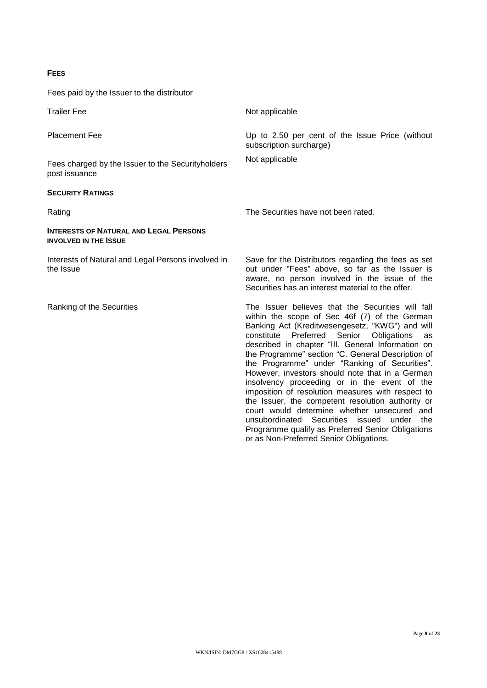#### **FEES**

Fees paid by the Issuer to the distributor

Trailer Fee Not applicable Placement Fee **Exercise 2.50** Up to 2.50 per cent of the Issue Price (without subscription surcharge) Fees charged by the Issuer to the Securityholders post issuance Not applicable **SECURITY RATINGS** Rating The Securities have not been rated. **INTERESTS OF NATURAL AND LEGAL PERSONS INVOLVED IN THE ISSUE** Interests of Natural and Legal Persons involved in the Issue Save for the Distributors regarding the fees as set out under "Fees" above, so far as the Issuer is aware, no person involved in the issue of the Securities has an interest material to the offer. Ranking of the Securities The Issuer believes that the Securities will fall within the scope of Sec 46f (7) of the German Banking Act (Kreditwesengesetz, "KWG") and will constitute Preferred Senior Obligations as described in chapter "III. General Information on the Programme" section "C. General Description of the Programme" under "Ranking of Securities". However, investors should note that in a German insolvency proceeding or in the event of the imposition of resolution measures with respect to the Issuer, the competent resolution authority or court would determine whether unsecured and unsubordinated Securities issued under the Programme qualify as Preferred Senior Obligations or as Non-Preferred Senior Obligations.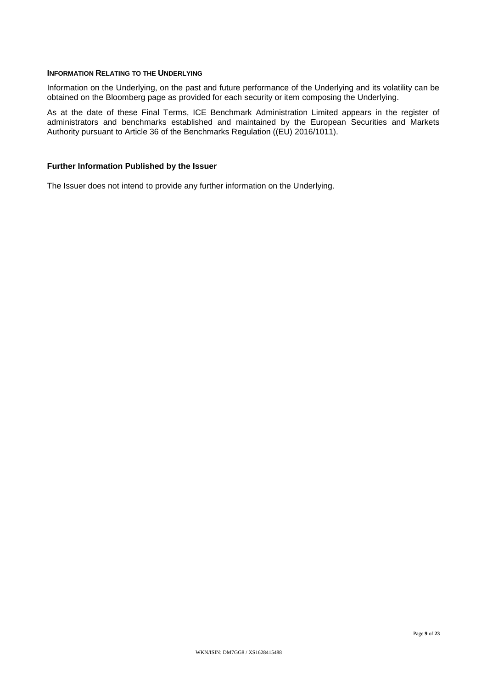#### **INFORMATION RELATING TO THE UNDERLYING**

Information on the Underlying, on the past and future performance of the Underlying and its volatility can be obtained on the Bloomberg page as provided for each security or item composing the Underlying.

As at the date of these Final Terms, ICE Benchmark Administration Limited appears in the register of administrators and benchmarks established and maintained by the European Securities and Markets Authority pursuant to Article 36 of the Benchmarks Regulation ((EU) 2016/1011).

## **Further Information Published by the Issuer**

The Issuer does not intend to provide any further information on the Underlying.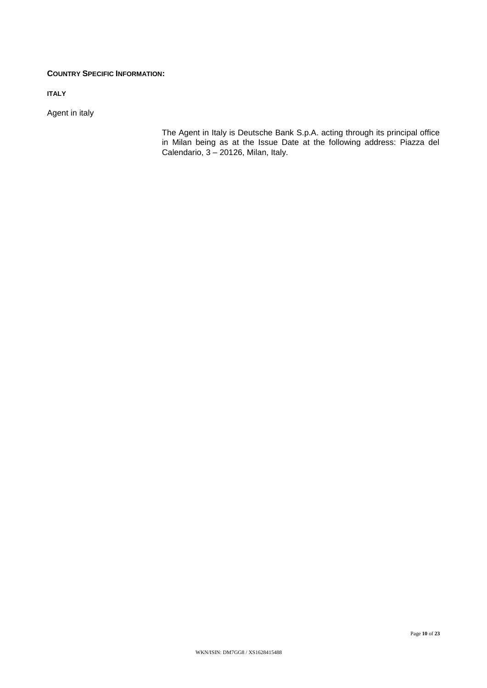## **COUNTRY SPECIFIC INFORMATION:**

**ITALY**

Agent in italy

The Agent in Italy is Deutsche Bank S.p.A. acting through its principal office in Milan being as at the Issue Date at the following address: Piazza del Calendario,  $3 - 20126$ , Milan, Italy.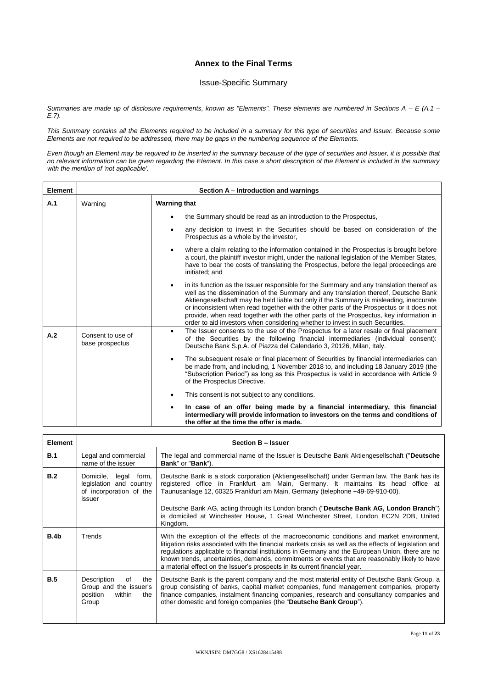## **Annex to the Final Terms**

## Issue-Specific Summary

*Summaries are made up of disclosure requirements, known as "Elements". These elements are numbered in Sections A – E (A.1 – E.7).*

*This Summary contains all the Elements required to be included in a summary for this type of securities and Issuer. Because some Elements are not required to be addressed, there may be gaps in the numbering sequence of the Elements.*

*Even though an Element may be required to be inserted in the summary because of the type of securities and Issuer, it is possible that no relevant information can be given regarding the Element. In this case a short description of the Element is included in the summary with the mention of 'not applicable'.*

| <b>Element</b> | Section A – Introduction and warnings |                                                                                                                                                                                                                                                                                                                                                                                                                                                                                                                                                                |  |  |
|----------------|---------------------------------------|----------------------------------------------------------------------------------------------------------------------------------------------------------------------------------------------------------------------------------------------------------------------------------------------------------------------------------------------------------------------------------------------------------------------------------------------------------------------------------------------------------------------------------------------------------------|--|--|
| A.1            | Warning                               | <b>Warning that</b>                                                                                                                                                                                                                                                                                                                                                                                                                                                                                                                                            |  |  |
|                |                                       | the Summary should be read as an introduction to the Prospectus.                                                                                                                                                                                                                                                                                                                                                                                                                                                                                               |  |  |
|                |                                       | any decision to invest in the Securities should be based on consideration of the<br>Prospectus as a whole by the investor,                                                                                                                                                                                                                                                                                                                                                                                                                                     |  |  |
|                |                                       | where a claim relating to the information contained in the Prospectus is brought before<br>٠<br>a court, the plaintiff investor might, under the national legislation of the Member States,<br>have to bear the costs of translating the Prospectus, before the legal proceedings are<br>initiated; and                                                                                                                                                                                                                                                        |  |  |
|                |                                       | in its function as the Issuer responsible for the Summary and any translation thereof as<br>$\bullet$<br>well as the dissemination of the Summary and any translation thereof, Deutsche Bank<br>Aktiengesellschaft may be held liable but only if the Summary is misleading, inaccurate<br>or inconsistent when read together with the other parts of the Prospectus or it does not<br>provide, when read together with the other parts of the Prospectus, key information in<br>order to aid investors when considering whether to invest in such Securities. |  |  |
| A.2            | Consent to use of<br>base prospectus  | The Issuer consents to the use of the Prospectus for a later resale or final placement<br>$\bullet$<br>of the Securities by the following financial intermediaries (individual consent):<br>Deutsche Bank S.p.A. of Piazza del Calendario 3, 20126, Milan, Italy.                                                                                                                                                                                                                                                                                              |  |  |
|                |                                       | The subsequent resale or final placement of Securities by financial intermediaries can<br>$\bullet$<br>be made from, and including, 1 November 2018 to, and including 18 January 2019 (the<br>"Subscription Period") as long as this Prospectus is valid in accordance with Article 9<br>of the Prospectus Directive.                                                                                                                                                                                                                                          |  |  |
|                |                                       | This consent is not subject to any conditions.                                                                                                                                                                                                                                                                                                                                                                                                                                                                                                                 |  |  |
|                |                                       | In case of an offer being made by a financial intermediary, this financial<br>$\bullet$<br>intermediary will provide information to investors on the terms and conditions of<br>the offer at the time the offer is made.                                                                                                                                                                                                                                                                                                                                       |  |  |

| <b>Element</b> | Section B - Issuer                                                                          |                                                                                                                                                                                                                                                                                                                                                                                                                                                                                          |  |
|----------------|---------------------------------------------------------------------------------------------|------------------------------------------------------------------------------------------------------------------------------------------------------------------------------------------------------------------------------------------------------------------------------------------------------------------------------------------------------------------------------------------------------------------------------------------------------------------------------------------|--|
| <b>B.1</b>     | Legal and commercial<br>name of the issuer                                                  | The legal and commercial name of the Issuer is Deutsche Bank Aktiengesellschaft ("Deutsche<br><b>Bank</b> " or " <b>Bank</b> ").                                                                                                                                                                                                                                                                                                                                                         |  |
| B.2            | Domicile.<br>legal<br>form,<br>legislation and country<br>of incorporation of the<br>issuer | Deutsche Bank is a stock corporation (Aktiengesellschaft) under German law. The Bank has its<br>registered office in Frankfurt am Main, Germany. It maintains its head office at<br>Taunusanlage 12, 60325 Frankfurt am Main, Germany (telephone +49-69-910-00).                                                                                                                                                                                                                         |  |
|                |                                                                                             | Deutsche Bank AG, acting through its London branch ("Deutsche Bank AG, London Branch")<br>is domiciled at Winchester House, 1 Great Winchester Street, London EC2N 2DB, United<br>Kingdom.                                                                                                                                                                                                                                                                                               |  |
| B.4b           | Trends                                                                                      | With the exception of the effects of the macroeconomic conditions and market environment,<br>litigation risks associated with the financial markets crisis as well as the effects of legislation and<br>regulations applicable to financial institutions in Germany and the European Union, there are no<br>known trends, uncertainties, demands, commitments or events that are reasonably likely to have<br>a material effect on the Issuer's prospects in its current financial year. |  |
| <b>B.5</b>     | Description<br>of<br>the<br>Group and the issuer's<br>position<br>within<br>the<br>Group    | Deutsche Bank is the parent company and the most material entity of Deutsche Bank Group, a<br>group consisting of banks, capital market companies, fund management companies, property<br>finance companies, instalment financing companies, research and consultancy companies and<br>other domestic and foreign companies (the "Deutsche Bank Group").                                                                                                                                 |  |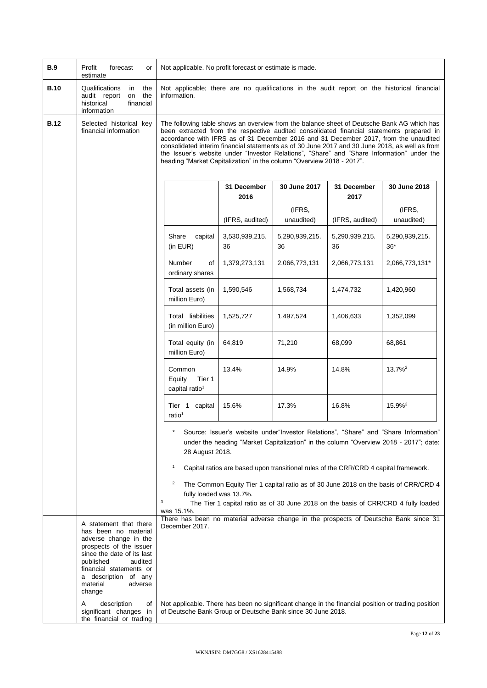| <b>B.9</b>  | Profit<br>forecast<br>or<br>estimate                                                                                                                                                                                                         | Not applicable. No profit forecast or estimate is made.                                                     |                      |                      |                                                                                      |                                                                                                                                                                                                                                                                                                                                                                                                                                                                                |
|-------------|----------------------------------------------------------------------------------------------------------------------------------------------------------------------------------------------------------------------------------------------|-------------------------------------------------------------------------------------------------------------|----------------------|----------------------|--------------------------------------------------------------------------------------|--------------------------------------------------------------------------------------------------------------------------------------------------------------------------------------------------------------------------------------------------------------------------------------------------------------------------------------------------------------------------------------------------------------------------------------------------------------------------------|
| <b>B.10</b> | Qualifications<br>the<br>in<br>audit report<br>the<br>on<br>historical<br>financial<br>information                                                                                                                                           | Not applicable; there are no qualifications in the audit report on the historical financial<br>information. |                      |                      |                                                                                      |                                                                                                                                                                                                                                                                                                                                                                                                                                                                                |
| <b>B.12</b> | Selected historical key<br>financial information                                                                                                                                                                                             | heading "Market Capitalization" in the column "Overview 2018 - 2017".                                       |                      |                      |                                                                                      | The following table shows an overview from the balance sheet of Deutsche Bank AG which has<br>been extracted from the respective audited consolidated financial statements prepared in<br>accordance with IFRS as of 31 December 2016 and 31 December 2017, from the unaudited<br>consolidated interim financial statements as of 30 June 2017 and 30 June 2018, as well as from<br>the Issuer's website under "Investor Relations", "Share" and "Share Information" under the |
|             |                                                                                                                                                                                                                                              |                                                                                                             | 31 December<br>2016  | 30 June 2017         | 31 December<br>2017                                                                  | 30 June 2018                                                                                                                                                                                                                                                                                                                                                                                                                                                                   |
|             |                                                                                                                                                                                                                                              |                                                                                                             | (IFRS, audited)      | (IFRS,<br>unaudited) | (IFRS, audited)                                                                      | (IFRS,<br>unaudited)                                                                                                                                                                                                                                                                                                                                                                                                                                                           |
|             |                                                                                                                                                                                                                                              | Share<br>capital<br>(in EUR)                                                                                | 3,530,939,215.<br>36 | 5,290,939,215.<br>36 | 5,290,939,215.<br>36                                                                 | 5,290,939,215.<br>$36*$                                                                                                                                                                                                                                                                                                                                                                                                                                                        |
|             |                                                                                                                                                                                                                                              | Number<br>of<br>ordinary shares                                                                             | 1,379,273,131        | 2,066,773,131        | 2,066,773,131                                                                        | 2,066,773,131*                                                                                                                                                                                                                                                                                                                                                                                                                                                                 |
|             |                                                                                                                                                                                                                                              | Total assets (in<br>million Euro)                                                                           | 1,590,546            | 1,568,734            | 1,474,732                                                                            | 1,420,960                                                                                                                                                                                                                                                                                                                                                                                                                                                                      |
|             |                                                                                                                                                                                                                                              | Total liabilities<br>(in million Euro)                                                                      | 1,525,727            | 1,497,524            | 1,406,633                                                                            | 1,352,099                                                                                                                                                                                                                                                                                                                                                                                                                                                                      |
|             |                                                                                                                                                                                                                                              | Total equity (in<br>million Euro)                                                                           | 64,819               | 71,210               | 68,099                                                                               | 68,861                                                                                                                                                                                                                                                                                                                                                                                                                                                                         |
|             |                                                                                                                                                                                                                                              | Common<br>Equity<br>Tier 1<br>capital ratio <sup>1</sup>                                                    | 13.4%                | 14.9%                | 14.8%                                                                                | $13.7\%$ <sup>2</sup>                                                                                                                                                                                                                                                                                                                                                                                                                                                          |
|             |                                                                                                                                                                                                                                              | Tier 1 capital<br>ratio <sup>1</sup>                                                                        | 15.6%                | 17.3%                | 16.8%                                                                                | 15.9% <sup>3</sup>                                                                                                                                                                                                                                                                                                                                                                                                                                                             |
|             |                                                                                                                                                                                                                                              | 28 August 2018.                                                                                             |                      |                      |                                                                                      | Source: Issuer's website under"Investor Relations", "Share" and "Share Information"<br>under the heading "Market Capitalization" in the column "Overview 2018 - 2017"; date:                                                                                                                                                                                                                                                                                                   |
|             |                                                                                                                                                                                                                                              | 1                                                                                                           |                      |                      | Capital ratios are based upon transitional rules of the CRR/CRD 4 capital framework. |                                                                                                                                                                                                                                                                                                                                                                                                                                                                                |
|             |                                                                                                                                                                                                                                              | $\overline{a}$<br>fully loaded was 13.7%.<br>3<br>was 15.1%.                                                |                      |                      |                                                                                      | The Common Equity Tier 1 capital ratio as of 30 June 2018 on the basis of CRR/CRD 4<br>The Tier 1 capital ratio as of 30 June 2018 on the basis of CRR/CRD 4 fully loaded                                                                                                                                                                                                                                                                                                      |
|             | A statement that there<br>has been no material<br>adverse change in the<br>prospects of the issuer<br>since the date of its last<br>published<br>audited<br>financial statements or<br>a description of any<br>material<br>adverse<br>change | December 2017.                                                                                              |                      |                      |                                                                                      | There has been no material adverse change in the prospects of Deutsche Bank since 31                                                                                                                                                                                                                                                                                                                                                                                           |
|             | description<br>of<br>A<br>significant changes in<br>the financial or trading                                                                                                                                                                 | of Deutsche Bank Group or Deutsche Bank since 30 June 2018.                                                 |                      |                      |                                                                                      | Not applicable. There has been no significant change in the financial position or trading position                                                                                                                                                                                                                                                                                                                                                                             |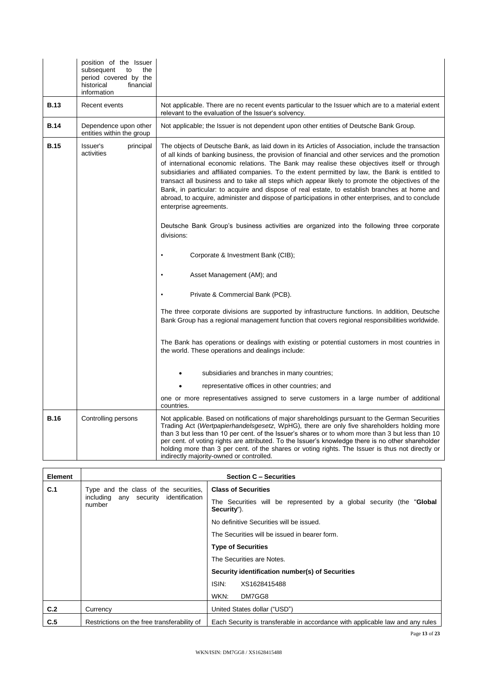|             | position of the Issuer<br>subsequent<br>the<br>to<br>period covered by the<br>historical<br>financial<br>information |                                                                                                                                                                                                                                                                                                                                                                                                                                                                                                                                                                                                                                                                                                                                                                                                                                                                                                                                |
|-------------|----------------------------------------------------------------------------------------------------------------------|--------------------------------------------------------------------------------------------------------------------------------------------------------------------------------------------------------------------------------------------------------------------------------------------------------------------------------------------------------------------------------------------------------------------------------------------------------------------------------------------------------------------------------------------------------------------------------------------------------------------------------------------------------------------------------------------------------------------------------------------------------------------------------------------------------------------------------------------------------------------------------------------------------------------------------|
| <b>B.13</b> | Recent events                                                                                                        | Not applicable. There are no recent events particular to the Issuer which are to a material extent<br>relevant to the evaluation of the Issuer's solvency.                                                                                                                                                                                                                                                                                                                                                                                                                                                                                                                                                                                                                                                                                                                                                                     |
| <b>B.14</b> | Dependence upon other<br>entities within the group                                                                   | Not applicable; the Issuer is not dependent upon other entities of Deutsche Bank Group.                                                                                                                                                                                                                                                                                                                                                                                                                                                                                                                                                                                                                                                                                                                                                                                                                                        |
| <b>B.15</b> | Issuer's<br>principal<br>activities                                                                                  | The objects of Deutsche Bank, as laid down in its Articles of Association, include the transaction<br>of all kinds of banking business, the provision of financial and other services and the promotion<br>of international economic relations. The Bank may realise these objectives itself or through<br>subsidiaries and affiliated companies. To the extent permitted by law, the Bank is entitled to<br>transact all business and to take all steps which appear likely to promote the objectives of the<br>Bank, in particular: to acquire and dispose of real estate, to establish branches at home and<br>abroad, to acquire, administer and dispose of participations in other enterprises, and to conclude<br>enterprise agreements.<br>Deutsche Bank Group's business activities are organized into the following three corporate<br>divisions:<br>Corporate & Investment Bank (CIB);<br>Asset Management (AM); and |
|             |                                                                                                                      | Private & Commercial Bank (PCB).                                                                                                                                                                                                                                                                                                                                                                                                                                                                                                                                                                                                                                                                                                                                                                                                                                                                                               |
|             |                                                                                                                      | The three corporate divisions are supported by infrastructure functions. In addition, Deutsche<br>Bank Group has a regional management function that covers regional responsibilities worldwide.                                                                                                                                                                                                                                                                                                                                                                                                                                                                                                                                                                                                                                                                                                                               |
|             |                                                                                                                      | The Bank has operations or dealings with existing or potential customers in most countries in<br>the world. These operations and dealings include:                                                                                                                                                                                                                                                                                                                                                                                                                                                                                                                                                                                                                                                                                                                                                                             |
|             |                                                                                                                      | subsidiaries and branches in many countries;                                                                                                                                                                                                                                                                                                                                                                                                                                                                                                                                                                                                                                                                                                                                                                                                                                                                                   |
|             |                                                                                                                      | representative offices in other countries; and                                                                                                                                                                                                                                                                                                                                                                                                                                                                                                                                                                                                                                                                                                                                                                                                                                                                                 |
|             |                                                                                                                      | one or more representatives assigned to serve customers in a large number of additional<br>countries.                                                                                                                                                                                                                                                                                                                                                                                                                                                                                                                                                                                                                                                                                                                                                                                                                          |
| <b>B.16</b> | Controlling persons                                                                                                  | Not applicable. Based on notifications of major shareholdings pursuant to the German Securities<br>Trading Act (Wertpapierhandelsgesetz, WpHG), there are only five shareholders holding more<br>than 3 but less than 10 per cent. of the Issuer's shares or to whom more than 3 but less than 10<br>per cent. of voting rights are attributed. To the Issuer's knowledge there is no other shareholder<br>holding more than 3 per cent. of the shares or voting rights. The Issuer is thus not directly or<br>indirectly majority-owned or controlled.                                                                                                                                                                                                                                                                                                                                                                        |

| Element | <b>Section C - Securities</b>                                                            |                                                                                             |  |
|---------|------------------------------------------------------------------------------------------|---------------------------------------------------------------------------------------------|--|
| C.1     | Type and the class of the securities,<br>including any security identification<br>number | <b>Class of Securities</b>                                                                  |  |
|         |                                                                                          | The Securities will be represented by a global security (the " <b>Global</b><br>Security"). |  |
|         |                                                                                          | No definitive Securities will be issued.                                                    |  |
|         |                                                                                          | The Securities will be issued in bearer form.                                               |  |
|         |                                                                                          | <b>Type of Securities</b>                                                                   |  |
|         |                                                                                          | The Securities are Notes.                                                                   |  |
|         |                                                                                          | Security identification number(s) of Securities                                             |  |
|         |                                                                                          | ISIN:<br>XS1628415488                                                                       |  |
|         |                                                                                          | WKN:<br>DM7GG8                                                                              |  |
| C.2     | Currency                                                                                 | United States dollar ("USD")                                                                |  |
| C.5     | Restrictions on the free transferability of                                              | Each Security is transferable in accordance with applicable law and any rules               |  |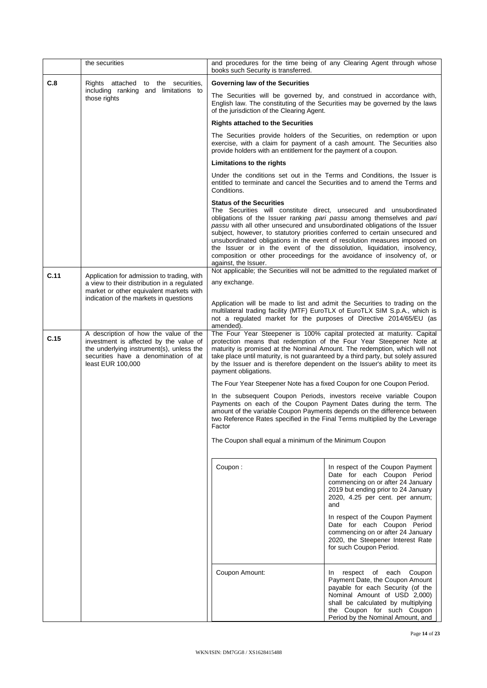|      | the securities                                                                                                                                                                           | books such Security is transferred.                                    | and procedures for the time being of any Clearing Agent through whose                                                                                                                                                                                                                                                                                                                                                                                                                                                                           |
|------|------------------------------------------------------------------------------------------------------------------------------------------------------------------------------------------|------------------------------------------------------------------------|-------------------------------------------------------------------------------------------------------------------------------------------------------------------------------------------------------------------------------------------------------------------------------------------------------------------------------------------------------------------------------------------------------------------------------------------------------------------------------------------------------------------------------------------------|
| C.8  | Rights attached to the securities,                                                                                                                                                       | Governing law of the Securities                                        |                                                                                                                                                                                                                                                                                                                                                                                                                                                                                                                                                 |
|      | including ranking and limitations to<br>those rights                                                                                                                                     | of the jurisdiction of the Clearing Agent.                             | The Securities will be governed by, and construed in accordance with,<br>English law. The constituting of the Securities may be governed by the laws                                                                                                                                                                                                                                                                                                                                                                                            |
|      |                                                                                                                                                                                          | <b>Rights attached to the Securities</b>                               |                                                                                                                                                                                                                                                                                                                                                                                                                                                                                                                                                 |
|      |                                                                                                                                                                                          | provide holders with an entitlement for the payment of a coupon.       | The Securities provide holders of the Securities, on redemption or upon<br>exercise, with a claim for payment of a cash amount. The Securities also                                                                                                                                                                                                                                                                                                                                                                                             |
|      |                                                                                                                                                                                          | Limitations to the rights                                              |                                                                                                                                                                                                                                                                                                                                                                                                                                                                                                                                                 |
|      |                                                                                                                                                                                          | Conditions.                                                            | Under the conditions set out in the Terms and Conditions, the Issuer is<br>entitled to terminate and cancel the Securities and to amend the Terms and                                                                                                                                                                                                                                                                                                                                                                                           |
|      |                                                                                                                                                                                          | <b>Status of the Securities</b><br>against, the Issuer.                | The Securities will constitute direct, unsecured and unsubordinated<br>obligations of the Issuer ranking pari passu among themselves and pari<br>passu with all other unsecured and unsubordinated obligations of the Issuer<br>subject, however, to statutory priorities conferred to certain unsecured and<br>unsubordinated obligations in the event of resolution measures imposed on<br>the Issuer or in the event of the dissolution, liquidation, insolvency,<br>composition or other proceedings for the avoidance of insolvency of, or |
| C.11 | Application for admission to trading, with                                                                                                                                               |                                                                        | Not applicable; the Securities will not be admitted to the regulated market of                                                                                                                                                                                                                                                                                                                                                                                                                                                                  |
|      | a view to their distribution in a regulated<br>market or other equivalent markets with                                                                                                   | any exchange.                                                          |                                                                                                                                                                                                                                                                                                                                                                                                                                                                                                                                                 |
|      | indication of the markets in questions                                                                                                                                                   | amended).                                                              | Application will be made to list and admit the Securities to trading on the<br>multilateral trading facility (MTF) EuroTLX of EuroTLX SIM S.p.A., which is<br>not a regulated market for the purposes of Directive 2014/65/EU (as                                                                                                                                                                                                                                                                                                               |
| C.15 | A description of how the value of the<br>investment is affected by the value of<br>the underlying instrument(s), unless the<br>securities have a denomination of at<br>least EUR 100,000 | payment obligations.                                                   | The Four Year Steepener is 100% capital protected at maturity. Capital<br>protection means that redemption of the Four Year Steepener Note at<br>maturity is promised at the Nominal Amount. The redemption, which will not<br>take place until maturity, is not guaranteed by a third party, but solely assured<br>by the Issuer and is therefore dependent on the Issuer's ability to meet its                                                                                                                                                |
|      |                                                                                                                                                                                          | The Four Year Steepener Note has a fixed Coupon for one Coupon Period. |                                                                                                                                                                                                                                                                                                                                                                                                                                                                                                                                                 |
|      |                                                                                                                                                                                          | Factor                                                                 | In the subsequent Coupon Periods, investors receive variable Coupon<br>Payments on each of the Coupon Payment Dates during the term. The<br>amount of the variable Coupon Payments depends on the difference between<br>two Reference Rates specified in the Final Terms multiplied by the Leverage                                                                                                                                                                                                                                             |
|      |                                                                                                                                                                                          | The Coupon shall equal a minimum of the Minimum Coupon                 |                                                                                                                                                                                                                                                                                                                                                                                                                                                                                                                                                 |
|      |                                                                                                                                                                                          | Coupon:                                                                | In respect of the Coupon Payment<br>Date for each Coupon Period<br>commencing on or after 24 January<br>2019 but ending prior to 24 January<br>2020, 4.25 per cent. per annum;<br>and                                                                                                                                                                                                                                                                                                                                                           |
|      |                                                                                                                                                                                          |                                                                        | In respect of the Coupon Payment<br>Date for each Coupon Period<br>commencing on or after 24 January<br>2020, the Steepener Interest Rate<br>for such Coupon Period.                                                                                                                                                                                                                                                                                                                                                                            |
|      |                                                                                                                                                                                          | Coupon Amount:                                                         | respect of each<br>Coupon<br>In<br>Payment Date, the Coupon Amount<br>payable for each Security (of the<br>Nominal Amount of USD 2,000)<br>shall be calculated by multiplying<br>the Coupon for such Coupon<br>Period by the Nominal Amount, and                                                                                                                                                                                                                                                                                                |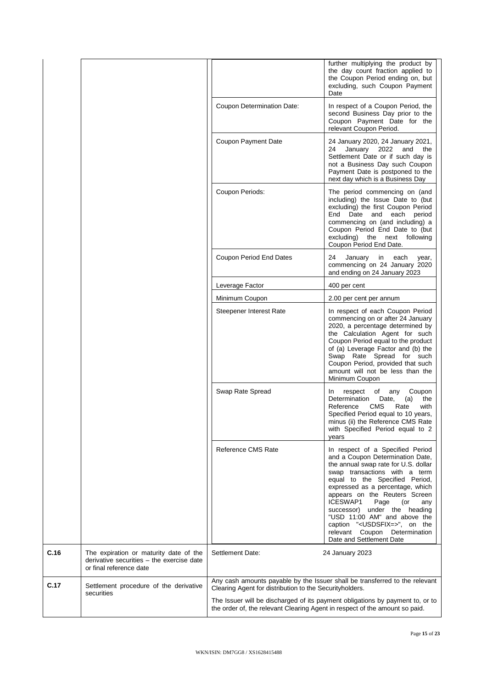|      |                                                                                                                |                                                                             | further multiplying the product by<br>the day count fraction applied to<br>the Coupon Period ending on, but<br>excluding, such Coupon Payment<br>Date                                                                                                                                                                                                                                                                                                             |
|------|----------------------------------------------------------------------------------------------------------------|-----------------------------------------------------------------------------|-------------------------------------------------------------------------------------------------------------------------------------------------------------------------------------------------------------------------------------------------------------------------------------------------------------------------------------------------------------------------------------------------------------------------------------------------------------------|
|      |                                                                                                                | Coupon Determination Date:                                                  | In respect of a Coupon Period, the<br>second Business Day prior to the<br>Coupon Payment Date for the<br>relevant Coupon Period.                                                                                                                                                                                                                                                                                                                                  |
|      |                                                                                                                | <b>Coupon Payment Date</b>                                                  | 24 January 2020, 24 January 2021,<br>January 2022<br>and the<br>24<br>Settlement Date or if such day is<br>not a Business Day such Coupon<br>Payment Date is postponed to the<br>next day which is a Business Day                                                                                                                                                                                                                                                 |
|      |                                                                                                                | Coupon Periods:                                                             | The period commencing on (and<br>including) the Issue Date to (but<br>excluding) the first Coupon Period<br>End Date and each period<br>commencing on (and including) a<br>Coupon Period End Date to (but<br>excluding) the next following<br>Coupon Period End Date.                                                                                                                                                                                             |
|      |                                                                                                                | <b>Coupon Period End Dates</b>                                              | 24<br>January in<br>each<br>year,<br>commencing on 24 January 2020<br>and ending on 24 January 2023                                                                                                                                                                                                                                                                                                                                                               |
|      |                                                                                                                | Leverage Factor                                                             | 400 per cent                                                                                                                                                                                                                                                                                                                                                                                                                                                      |
|      |                                                                                                                | Minimum Coupon                                                              | 2.00 per cent per annum                                                                                                                                                                                                                                                                                                                                                                                                                                           |
|      |                                                                                                                | Steepener Interest Rate                                                     | In respect of each Coupon Period<br>commencing on or after 24 January<br>2020, a percentage determined by<br>the Calculation Agent for such<br>Coupon Period equal to the product<br>of (a) Leverage Factor and (b) the<br>Swap Rate Spread for such<br>Coupon Period, provided that such<br>amount will not be less than the<br>Minimum Coupon                                                                                                                   |
|      |                                                                                                                | Swap Rate Spread                                                            | respect of any Coupon<br>In<br>Determination<br>(a)<br>the<br>Date,<br>Reference<br><b>CMS</b><br>Rate<br>with<br>Specified Period equal to 10 years,<br>minus (ii) the Reference CMS Rate<br>with Specified Period equal to 2<br>years                                                                                                                                                                                                                           |
|      |                                                                                                                | Reference CMS Rate                                                          | In respect of a Specified Period<br>and a Coupon Determination Date,<br>the annual swap rate for U.S. dollar<br>swap transactions with a term<br>equal to the Specified Period,<br>expressed as a percentage, which<br>appears on the Reuters Screen<br>ICESWAP1<br>Page<br>(or<br>any<br>successor) under the heading<br>"USD 11:00 AM" and above the<br>caption " <usdsfix=>", on the<br/>relevant Coupon Determination<br/>Date and Settlement Date</usdsfix=> |
| C.16 | The expiration or maturity date of the<br>derivative securities - the exercise date<br>or final reference date | Settlement Date:                                                            | 24 January 2023                                                                                                                                                                                                                                                                                                                                                                                                                                                   |
| C.17 | Settlement procedure of the derivative                                                                         | Clearing Agent for distribution to the Security holders.                    | Any cash amounts payable by the Issuer shall be transferred to the relevant                                                                                                                                                                                                                                                                                                                                                                                       |
|      | securities                                                                                                     | the order of, the relevant Clearing Agent in respect of the amount so paid. | The Issuer will be discharged of its payment obligations by payment to, or to                                                                                                                                                                                                                                                                                                                                                                                     |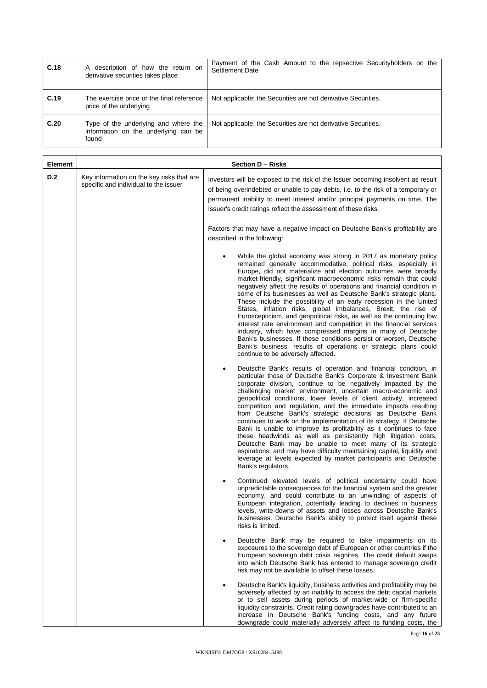| C.18 | description of how the return on<br>A<br>derivative securities takes place            | Payment of the Cash Amount to the repsective Security holders on the<br>Settlement Date |
|------|---------------------------------------------------------------------------------------|-----------------------------------------------------------------------------------------|
| C.19 | The exercise price or the final reference<br>price of the underlying                  | Not applicable; the Securities are not derivative Securities.                           |
| C.20 | Type of the underlying and where the<br>information on the underlying can be<br>found | Not applicable; the Securities are not derivative Securities.                           |

| <b>Element</b> | <b>Section D - Risks</b>                                                           |                                                                                                                                                                                                                                                                                                                                                                                                                                                                                                                                                                                                                                                                                                                                                                                                                                                                                                                                                                  |  |
|----------------|------------------------------------------------------------------------------------|------------------------------------------------------------------------------------------------------------------------------------------------------------------------------------------------------------------------------------------------------------------------------------------------------------------------------------------------------------------------------------------------------------------------------------------------------------------------------------------------------------------------------------------------------------------------------------------------------------------------------------------------------------------------------------------------------------------------------------------------------------------------------------------------------------------------------------------------------------------------------------------------------------------------------------------------------------------|--|
| D.2            | Key information on the key risks that are<br>specific and individual to the issuer | Investors will be exposed to the risk of the Issuer becoming insolvent as result<br>of being overindebted or unable to pay debts, i.e. to the risk of a temporary or<br>permanent inability to meet interest and/or principal payments on time. The<br>Issuer's credit ratings reflect the assessment of these risks.                                                                                                                                                                                                                                                                                                                                                                                                                                                                                                                                                                                                                                            |  |
|                |                                                                                    | Factors that may have a negative impact on Deutsche Bank's profitability are<br>described in the following:                                                                                                                                                                                                                                                                                                                                                                                                                                                                                                                                                                                                                                                                                                                                                                                                                                                      |  |
|                |                                                                                    | While the global economy was strong in 2017 as monetary policy<br>remained generally accommodative, political risks, especially in<br>Europe, did not materialize and election outcomes were broadly<br>market-friendly, significant macroeconomic risks remain that could<br>negatively affect the results of operations and financial condition in<br>some of its businesses as well as Deutsche Bank's strategic plans.<br>These include the possibility of an early recession in the United<br>States, inflation risks, global imbalances, Brexit, the rise of<br>Euroscepticism, and geopolitical risks, as well as the continuing low<br>interest rate environment and competition in the financial services<br>industry, which have compressed margins in many of Deutsche<br>Bank's businesses. If these conditions persist or worsen, Deutsche<br>Bank's business, results of operations or strategic plans could<br>continue to be adversely affected. |  |
|                |                                                                                    | Deutsche Bank's results of operation and financial condition, in<br>particular those of Deutsche Bank's Corporate & Investment Bank<br>corporate division, continue to be negatively impacted by the<br>challenging market environment, uncertain macro-economic and<br>geopolitical conditions, lower levels of client activity, increased<br>competition and regulation, and the immediate impacts resulting<br>from Deutsche Bank's strategic decisions as Deutsche Bank<br>continues to work on the implementation of its strategy. If Deutsche<br>Bank is unable to improve its profitability as it continues to face<br>these headwinds as well as persistently high litigation costs,<br>Deutsche Bank may be unable to meet many of its strategic<br>aspirations, and may have difficulty maintaining capital, liquidity and<br>leverage at levels expected by market participants and Deutsche<br>Bank's regulators.                                    |  |
|                |                                                                                    | Continued elevated levels of political uncertainty could have<br>unpredictable consequences for the financial system and the greater<br>economy, and could contribute to an unwinding of aspects of<br>European integration, potentially leading to declines in business<br>levels, write-downs of assets and losses across Deutsche Bank's<br>businesses. Deutsche Bank's ability to protect itself against these<br>risks is limited.                                                                                                                                                                                                                                                                                                                                                                                                                                                                                                                          |  |
|                |                                                                                    | Deutsche Bank may be required to take impairments on its<br>exposures to the sovereign debt of European or other countries if the<br>European sovereign debt crisis reignites. The credit default swaps<br>into which Deutsche Bank has entered to manage sovereign credit<br>risk may not be available to offset these losses.                                                                                                                                                                                                                                                                                                                                                                                                                                                                                                                                                                                                                                  |  |
|                |                                                                                    | Deutsche Bank's liquidity, business activities and profitability may be<br>adversely affected by an inability to access the debt capital markets<br>or to sell assets during periods of market-wide or firm-specific<br>liquidity constraints. Credit rating downgrades have contributed to an<br>increase in Deutsche Bank's funding costs, and any future<br>downgrade could materially adversely affect its funding costs, the                                                                                                                                                                                                                                                                                                                                                                                                                                                                                                                                |  |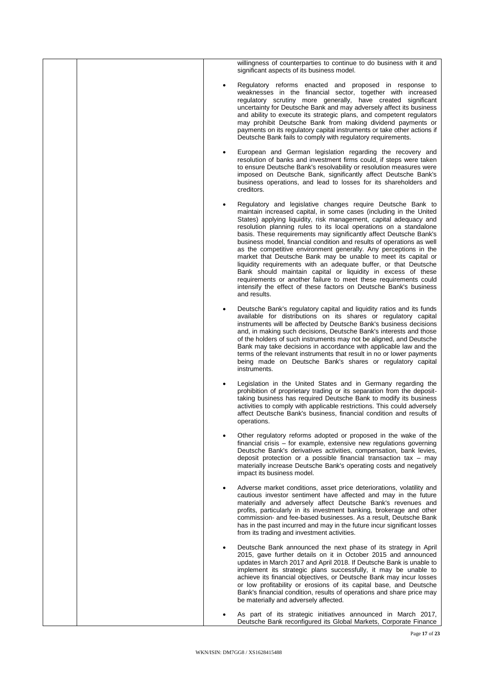| willingness of counterparties to continue to do business with it and<br>significant aspects of its business model.                                                                                                                                                                                                                                                                                                                                                                                                                                                                                                                                                                                                                                                                                                                                            |
|---------------------------------------------------------------------------------------------------------------------------------------------------------------------------------------------------------------------------------------------------------------------------------------------------------------------------------------------------------------------------------------------------------------------------------------------------------------------------------------------------------------------------------------------------------------------------------------------------------------------------------------------------------------------------------------------------------------------------------------------------------------------------------------------------------------------------------------------------------------|
| Regulatory reforms enacted and proposed in response to<br>weaknesses in the financial sector, together with increased<br>regulatory scrutiny more generally, have created significant<br>uncertainty for Deutsche Bank and may adversely affect its business<br>and ability to execute its strategic plans, and competent regulators<br>may prohibit Deutsche Bank from making dividend payments or<br>payments on its regulatory capital instruments or take other actions if<br>Deutsche Bank fails to comply with regulatory requirements.                                                                                                                                                                                                                                                                                                                 |
| European and German legislation regarding the recovery and<br>$\bullet$<br>resolution of banks and investment firms could, if steps were taken<br>to ensure Deutsche Bank's resolvability or resolution measures were<br>imposed on Deutsche Bank, significantly affect Deutsche Bank's<br>business operations, and lead to losses for its shareholders and<br>creditors.                                                                                                                                                                                                                                                                                                                                                                                                                                                                                     |
| Regulatory and legislative changes require Deutsche Bank to<br>maintain increased capital, in some cases (including in the United<br>States) applying liquidity, risk management, capital adequacy and<br>resolution planning rules to its local operations on a standalone<br>basis. These requirements may significantly affect Deutsche Bank's<br>business model, financial condition and results of operations as well<br>as the competitive environment generally. Any perceptions in the<br>market that Deutsche Bank may be unable to meet its capital or<br>liquidity requirements with an adequate buffer, or that Deutsche<br>Bank should maintain capital or liquidity in excess of these<br>requirements or another failure to meet these requirements could<br>intensify the effect of these factors on Deutsche Bank's business<br>and results. |
| Deutsche Bank's regulatory capital and liquidity ratios and its funds<br>available for distributions on its shares or regulatory capital<br>instruments will be affected by Deutsche Bank's business decisions<br>and, in making such decisions, Deutsche Bank's interests and those<br>of the holders of such instruments may not be aligned, and Deutsche<br>Bank may take decisions in accordance with applicable law and the<br>terms of the relevant instruments that result in no or lower payments<br>being made on Deutsche Bank's shares or regulatory capital<br>instruments.                                                                                                                                                                                                                                                                       |
| Legislation in the United States and in Germany regarding the<br>prohibition of proprietary trading or its separation from the deposit-<br>taking business has required Deutsche Bank to modify its business<br>activities to comply with applicable restrictions. This could adversely<br>affect Deutsche Bank's business, financial condition and results of<br>operations.                                                                                                                                                                                                                                                                                                                                                                                                                                                                                 |
| Other regulatory reforms adopted or proposed in the wake of the<br>financial crisis - for example, extensive new regulations governing<br>Deutsche Bank's derivatives activities, compensation, bank levies,<br>deposit protection or a possible financial transaction tax - may<br>materially increase Deutsche Bank's operating costs and negatively<br>impact its business model.                                                                                                                                                                                                                                                                                                                                                                                                                                                                          |
| Adverse market conditions, asset price deteriorations, volatility and<br>cautious investor sentiment have affected and may in the future<br>materially and adversely affect Deutsche Bank's revenues and<br>profits, particularly in its investment banking, brokerage and other<br>commission- and fee-based businesses. As a result, Deutsche Bank<br>has in the past incurred and may in the future incur significant losses<br>from its trading and investment activities.                                                                                                                                                                                                                                                                                                                                                                                |
| Deutsche Bank announced the next phase of its strategy in April<br>2015, gave further details on it in October 2015 and announced<br>updates in March 2017 and April 2018. If Deutsche Bank is unable to<br>implement its strategic plans successfully, it may be unable to<br>achieve its financial objectives, or Deutsche Bank may incur losses<br>or low profitability or erosions of its capital base, and Deutsche<br>Bank's financial condition, results of operations and share price may<br>be materially and adversely affected.                                                                                                                                                                                                                                                                                                                    |
| As part of its strategic initiatives announced in March 2017,<br>Deutsche Bank reconfigured its Global Markets, Corporate Finance                                                                                                                                                                                                                                                                                                                                                                                                                                                                                                                                                                                                                                                                                                                             |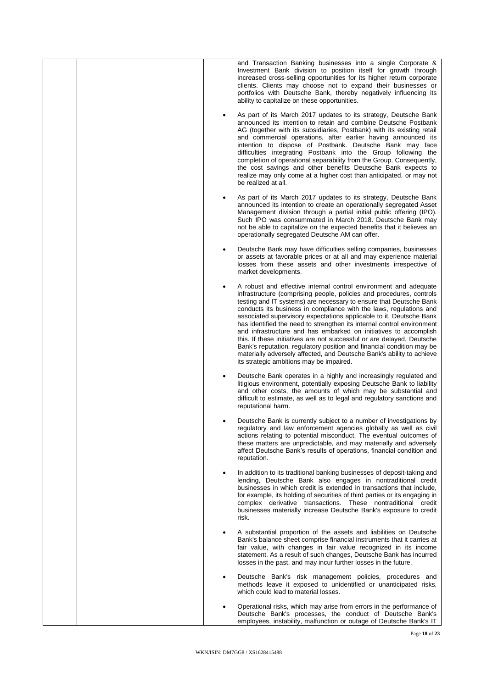|  | and Transaction Banking businesses into a single Corporate &<br>Investment Bank division to position itself for growth through<br>increased cross-selling opportunities for its higher return corporate<br>clients. Clients may choose not to expand their businesses or<br>portfolios with Deutsche Bank, thereby negatively influencing its<br>ability to capitalize on these opportunities.                                                                                                                                                                                                                                                                                                                                                                                    |
|--|-----------------------------------------------------------------------------------------------------------------------------------------------------------------------------------------------------------------------------------------------------------------------------------------------------------------------------------------------------------------------------------------------------------------------------------------------------------------------------------------------------------------------------------------------------------------------------------------------------------------------------------------------------------------------------------------------------------------------------------------------------------------------------------|
|  | As part of its March 2017 updates to its strategy, Deutsche Bank<br>announced its intention to retain and combine Deutsche Postbank<br>AG (together with its subsidiaries, Postbank) with its existing retail<br>and commercial operations, after earlier having announced its<br>intention to dispose of Postbank. Deutsche Bank may face<br>difficulties integrating Postbank into the Group following the<br>completion of operational separability from the Group. Consequently,<br>the cost savings and other benefits Deutsche Bank expects to<br>realize may only come at a higher cost than anticipated, or may not<br>be realized at all.                                                                                                                                |
|  | As part of its March 2017 updates to its strategy, Deutsche Bank<br>announced its intention to create an operationally segregated Asset<br>Management division through a partial initial public offering (IPO).<br>Such IPO was consummated in March 2018. Deutsche Bank may<br>not be able to capitalize on the expected benefits that it believes an<br>operationally segregated Deutsche AM can offer.                                                                                                                                                                                                                                                                                                                                                                         |
|  | Deutsche Bank may have difficulties selling companies, businesses<br>or assets at favorable prices or at all and may experience material<br>losses from these assets and other investments irrespective of<br>market developments.                                                                                                                                                                                                                                                                                                                                                                                                                                                                                                                                                |
|  | A robust and effective internal control environment and adequate<br>infrastructure (comprising people, policies and procedures, controls<br>testing and IT systems) are necessary to ensure that Deutsche Bank<br>conducts its business in compliance with the laws, regulations and<br>associated supervisory expectations applicable to it. Deutsche Bank<br>has identified the need to strengthen its internal control environment<br>and infrastructure and has embarked on initiatives to accomplish<br>this. If these initiatives are not successful or are delayed, Deutsche<br>Bank's reputation, regulatory position and financial condition may be<br>materially adversely affected, and Deutsche Bank's ability to achieve<br>its strategic ambitions may be impaired. |
|  | Deutsche Bank operates in a highly and increasingly regulated and<br>litigious environment, potentially exposing Deutsche Bank to liability<br>and other costs, the amounts of which may be substantial and<br>difficult to estimate, as well as to legal and regulatory sanctions and<br>reputational harm.                                                                                                                                                                                                                                                                                                                                                                                                                                                                      |
|  | Deutsche Bank is currently subject to a number of investigations by<br>regulatory and law enforcement agencies globally as well as civil<br>actions relating to potential misconduct. The eventual outcomes of<br>these matters are unpredictable, and may materially and adversely<br>affect Deutsche Bank's results of operations, financial condition and<br>reputation.                                                                                                                                                                                                                                                                                                                                                                                                       |
|  | In addition to its traditional banking businesses of deposit-taking and<br>lending, Deutsche Bank also engages in nontraditional credit<br>businesses in which credit is extended in transactions that include,<br>for example, its holding of securities of third parties or its engaging in<br>complex derivative transactions. These nontraditional credit<br>businesses materially increase Deutsche Bank's exposure to credit<br>risk.                                                                                                                                                                                                                                                                                                                                       |
|  | A substantial proportion of the assets and liabilities on Deutsche<br>Bank's balance sheet comprise financial instruments that it carries at<br>fair value, with changes in fair value recognized in its income<br>statement. As a result of such changes, Deutsche Bank has incurred<br>losses in the past, and may incur further losses in the future.                                                                                                                                                                                                                                                                                                                                                                                                                          |
|  | Deutsche Bank's risk management policies, procedures and<br>methods leave it exposed to unidentified or unanticipated risks,<br>which could lead to material losses.                                                                                                                                                                                                                                                                                                                                                                                                                                                                                                                                                                                                              |
|  | Operational risks, which may arise from errors in the performance of<br>Deutsche Bank's processes, the conduct of Deutsche Bank's<br>employees, instability, malfunction or outage of Deutsche Bank's IT                                                                                                                                                                                                                                                                                                                                                                                                                                                                                                                                                                          |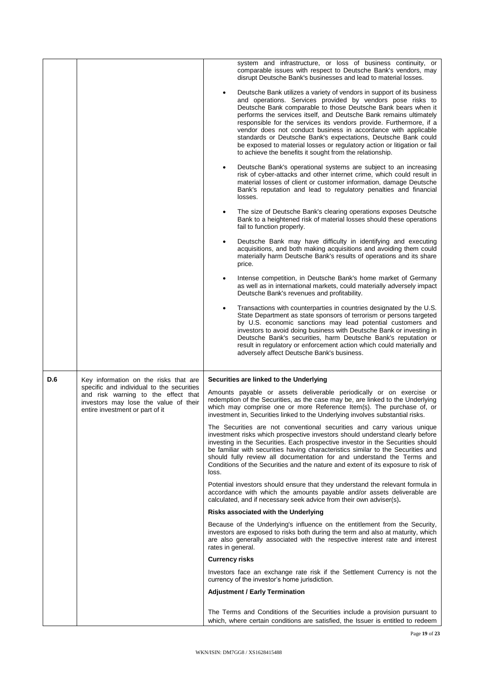|     |                                                                                                                                                              |                                                                                                                                                                                                                                                                                                                   | system and infrastructure, or loss of business continuity, or<br>comparable issues with respect to Deutsche Bank's vendors, may<br>disrupt Deutsche Bank's businesses and lead to material losses.                                                                                                                                                                                                                                                                                                                                                                                                                             |
|-----|--------------------------------------------------------------------------------------------------------------------------------------------------------------|-------------------------------------------------------------------------------------------------------------------------------------------------------------------------------------------------------------------------------------------------------------------------------------------------------------------|--------------------------------------------------------------------------------------------------------------------------------------------------------------------------------------------------------------------------------------------------------------------------------------------------------------------------------------------------------------------------------------------------------------------------------------------------------------------------------------------------------------------------------------------------------------------------------------------------------------------------------|
|     |                                                                                                                                                              |                                                                                                                                                                                                                                                                                                                   | Deutsche Bank utilizes a variety of vendors in support of its business<br>and operations. Services provided by vendors pose risks to<br>Deutsche Bank comparable to those Deutsche Bank bears when it<br>performs the services itself, and Deutsche Bank remains ultimately<br>responsible for the services its vendors provide. Furthermore, if a<br>vendor does not conduct business in accordance with applicable<br>standards or Deutsche Bank's expectations, Deutsche Bank could<br>be exposed to material losses or regulatory action or litigation or fail<br>to achieve the benefits it sought from the relationship. |
|     |                                                                                                                                                              |                                                                                                                                                                                                                                                                                                                   | Deutsche Bank's operational systems are subject to an increasing<br>risk of cyber-attacks and other internet crime, which could result in<br>material losses of client or customer information, damage Deutsche<br>Bank's reputation and lead to regulatory penalties and financial<br>losses.                                                                                                                                                                                                                                                                                                                                 |
|     |                                                                                                                                                              |                                                                                                                                                                                                                                                                                                                   | The size of Deutsche Bank's clearing operations exposes Deutsche<br>Bank to a heightened risk of material losses should these operations<br>fail to function properly.                                                                                                                                                                                                                                                                                                                                                                                                                                                         |
|     |                                                                                                                                                              |                                                                                                                                                                                                                                                                                                                   | Deutsche Bank may have difficulty in identifying and executing<br>acquisitions, and both making acquisitions and avoiding them could<br>materially harm Deutsche Bank's results of operations and its share<br>price.                                                                                                                                                                                                                                                                                                                                                                                                          |
|     |                                                                                                                                                              |                                                                                                                                                                                                                                                                                                                   | Intense competition, in Deutsche Bank's home market of Germany<br>as well as in international markets, could materially adversely impact<br>Deutsche Bank's revenues and profitability.                                                                                                                                                                                                                                                                                                                                                                                                                                        |
|     |                                                                                                                                                              |                                                                                                                                                                                                                                                                                                                   | Transactions with counterparties in countries designated by the U.S.<br>State Department as state sponsors of terrorism or persons targeted<br>by U.S. economic sanctions may lead potential customers and<br>investors to avoid doing business with Deutsche Bank or investing in<br>Deutsche Bank's securities, harm Deutsche Bank's reputation or<br>result in regulatory or enforcement action which could materially and<br>adversely affect Deutsche Bank's business.                                                                                                                                                    |
| D.6 | Key information on the risks that are                                                                                                                        |                                                                                                                                                                                                                                                                                                                   | Securities are linked to the Underlying                                                                                                                                                                                                                                                                                                                                                                                                                                                                                                                                                                                        |
|     | specific and individual to the securities<br>and risk warning to the effect that<br>investors may lose the value of their<br>entire investment or part of it | Amounts payable or assets deliverable periodically or on exercise or<br>redemption of the Securities, as the case may be, are linked to the Underlying<br>which may comprise one or more Reference Item(s). The purchase of, or<br>investment in, Securities linked to the Underlying involves substantial risks. |                                                                                                                                                                                                                                                                                                                                                                                                                                                                                                                                                                                                                                |
|     |                                                                                                                                                              | loss.                                                                                                                                                                                                                                                                                                             | The Securities are not conventional securities and carry various unique<br>investment risks which prospective investors should understand clearly before<br>investing in the Securities. Each prospective investor in the Securities should<br>be familiar with securities having characteristics similar to the Securities and<br>should fully review all documentation for and understand the Terms and<br>Conditions of the Securities and the nature and extent of its exposure to risk of                                                                                                                                 |
|     |                                                                                                                                                              |                                                                                                                                                                                                                                                                                                                   | Potential investors should ensure that they understand the relevant formula in<br>accordance with which the amounts payable and/or assets deliverable are<br>calculated, and if necessary seek advice from their own adviser(s).                                                                                                                                                                                                                                                                                                                                                                                               |
|     |                                                                                                                                                              |                                                                                                                                                                                                                                                                                                                   | Risks associated with the Underlying                                                                                                                                                                                                                                                                                                                                                                                                                                                                                                                                                                                           |
|     |                                                                                                                                                              | rates in general.                                                                                                                                                                                                                                                                                                 | Because of the Underlying's influence on the entitlement from the Security,<br>investors are exposed to risks both during the term and also at maturity, which<br>are also generally associated with the respective interest rate and interest                                                                                                                                                                                                                                                                                                                                                                                 |
|     |                                                                                                                                                              | <b>Currency risks</b>                                                                                                                                                                                                                                                                                             |                                                                                                                                                                                                                                                                                                                                                                                                                                                                                                                                                                                                                                |
|     |                                                                                                                                                              |                                                                                                                                                                                                                                                                                                                   | Investors face an exchange rate risk if the Settlement Currency is not the<br>currency of the investor's home jurisdiction.                                                                                                                                                                                                                                                                                                                                                                                                                                                                                                    |
|     |                                                                                                                                                              |                                                                                                                                                                                                                                                                                                                   | <b>Adjustment / Early Termination</b>                                                                                                                                                                                                                                                                                                                                                                                                                                                                                                                                                                                          |
|     |                                                                                                                                                              |                                                                                                                                                                                                                                                                                                                   | The Terms and Conditions of the Securities include a provision pursuant to<br>which, where certain conditions are satisfied, the Issuer is entitled to redeem                                                                                                                                                                                                                                                                                                                                                                                                                                                                  |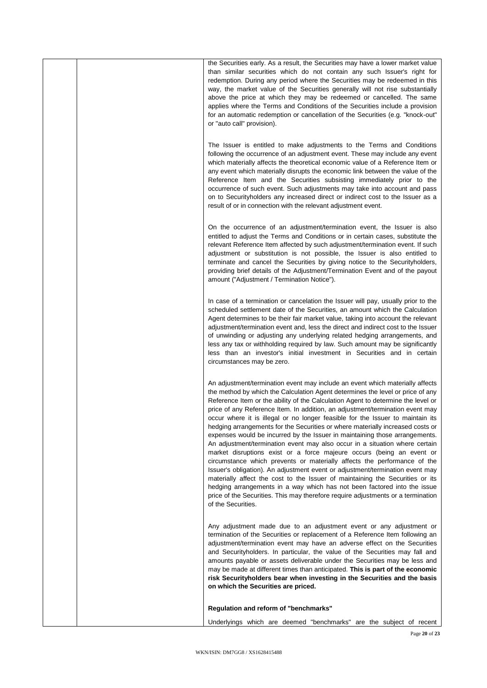| the Securities early. As a result, the Securities may have a lower market value<br>than similar securities which do not contain any such Issuer's right for<br>redemption. During any period where the Securities may be redeemed in this<br>way, the market value of the Securities generally will not rise substantially<br>above the price at which they may be redeemed or cancelled. The same<br>applies where the Terms and Conditions of the Securities include a provision<br>for an automatic redemption or cancellation of the Securities (e.g. "knock-out"<br>or "auto call" provision).                                                                                                                                                                                                                                                                                                                                                                                                                                                                                                                                                                                 |
|-------------------------------------------------------------------------------------------------------------------------------------------------------------------------------------------------------------------------------------------------------------------------------------------------------------------------------------------------------------------------------------------------------------------------------------------------------------------------------------------------------------------------------------------------------------------------------------------------------------------------------------------------------------------------------------------------------------------------------------------------------------------------------------------------------------------------------------------------------------------------------------------------------------------------------------------------------------------------------------------------------------------------------------------------------------------------------------------------------------------------------------------------------------------------------------|
| The Issuer is entitled to make adjustments to the Terms and Conditions<br>following the occurrence of an adjustment event. These may include any event<br>which materially affects the theoretical economic value of a Reference Item or<br>any event which materially disrupts the economic link between the value of the<br>Reference Item and the Securities subsisting immediately prior to the<br>occurrence of such event. Such adjustments may take into account and pass<br>on to Security holders any increased direct or indirect cost to the Issuer as a<br>result of or in connection with the relevant adjustment event.                                                                                                                                                                                                                                                                                                                                                                                                                                                                                                                                               |
| On the occurrence of an adjustment/termination event, the Issuer is also<br>entitled to adjust the Terms and Conditions or in certain cases, substitute the<br>relevant Reference Item affected by such adjustment/termination event. If such<br>adjustment or substitution is not possible, the Issuer is also entitled to<br>terminate and cancel the Securities by giving notice to the Securityholders,<br>providing brief details of the Adjustment/Termination Event and of the payout<br>amount ("Adjustment / Termination Notice").                                                                                                                                                                                                                                                                                                                                                                                                                                                                                                                                                                                                                                         |
| In case of a termination or cancelation the Issuer will pay, usually prior to the<br>scheduled settlement date of the Securities, an amount which the Calculation<br>Agent determines to be their fair market value, taking into account the relevant<br>adjustment/termination event and, less the direct and indirect cost to the Issuer<br>of unwinding or adjusting any underlying related hedging arrangements, and<br>less any tax or withholding required by law. Such amount may be significantly<br>less than an investor's initial investment in Securities and in certain<br>circumstances may be zero.                                                                                                                                                                                                                                                                                                                                                                                                                                                                                                                                                                  |
| An adjustment/termination event may include an event which materially affects<br>the method by which the Calculation Agent determines the level or price of any<br>Reference Item or the ability of the Calculation Agent to determine the level or<br>price of any Reference Item. In addition, an adjustment/termination event may<br>occur where it is illegal or no longer feasible for the Issuer to maintain its<br>hedging arrangements for the Securities or where materially increased costs or<br>expenses would be incurred by the Issuer in maintaining those arrangements.<br>An adjustment/termination event may also occur in a situation where certain<br>market disruptions exist or a force majeure occurs (being an event or<br>circumstance which prevents or materially affects the performance of the<br>Issuer's obligation). An adjustment event or adjustment/termination event may<br>materially affect the cost to the Issuer of maintaining the Securities or its<br>hedging arrangements in a way which has not been factored into the issue<br>price of the Securities. This may therefore require adjustments or a termination<br>of the Securities. |
| Any adjustment made due to an adjustment event or any adjustment or<br>termination of the Securities or replacement of a Reference Item following an<br>adjustment/termination event may have an adverse effect on the Securities<br>and Securityholders. In particular, the value of the Securities may fall and<br>amounts payable or assets deliverable under the Securities may be less and<br>may be made at different times than anticipated. This is part of the economic<br>risk Security holders bear when investing in the Securities and the basis<br>on which the Securities are priced.                                                                                                                                                                                                                                                                                                                                                                                                                                                                                                                                                                                |
| Regulation and reform of "benchmarks"                                                                                                                                                                                                                                                                                                                                                                                                                                                                                                                                                                                                                                                                                                                                                                                                                                                                                                                                                                                                                                                                                                                                               |
| Underlyings which are deemed "benchmarks" are the subject of recent                                                                                                                                                                                                                                                                                                                                                                                                                                                                                                                                                                                                                                                                                                                                                                                                                                                                                                                                                                                                                                                                                                                 |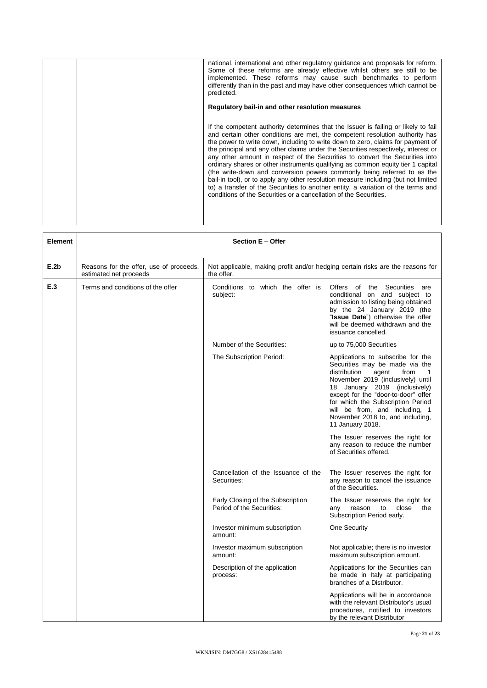| national, international and other regulatory guidance and proposals for reform.<br>Some of these reforms are already effective whilst others are still to be<br>implemented. These reforms may cause such benchmarks to perform<br>differently than in the past and may have other consequences which cannot be<br>predicted.                                                                                                                                                                                                                                                                                                                                                                                                                                                                                                           |
|-----------------------------------------------------------------------------------------------------------------------------------------------------------------------------------------------------------------------------------------------------------------------------------------------------------------------------------------------------------------------------------------------------------------------------------------------------------------------------------------------------------------------------------------------------------------------------------------------------------------------------------------------------------------------------------------------------------------------------------------------------------------------------------------------------------------------------------------|
| Regulatory bail-in and other resolution measures                                                                                                                                                                                                                                                                                                                                                                                                                                                                                                                                                                                                                                                                                                                                                                                        |
| If the competent authority determines that the Issuer is failing or likely to fail<br>and certain other conditions are met, the competent resolution authority has<br>the power to write down, including to write down to zero, claims for payment of<br>the principal and any other claims under the Securities respectively, interest or<br>any other amount in respect of the Securities to convert the Securities into<br>ordinary shares or other instruments qualifying as common equity tier 1 capital<br>(the write-down and conversion powers commonly being referred to as the<br>bail-in tool), or to apply any other resolution measure including (but not limited<br>to) a transfer of the Securities to another entity, a variation of the terms and<br>conditions of the Securities or a cancellation of the Securities. |

| <b>Element</b> | Section E - Offer                                                 |                                                                                              |                                                                                                                                                                                                                                                                                                                                                       |  |
|----------------|-------------------------------------------------------------------|----------------------------------------------------------------------------------------------|-------------------------------------------------------------------------------------------------------------------------------------------------------------------------------------------------------------------------------------------------------------------------------------------------------------------------------------------------------|--|
| E.2b           | Reasons for the offer, use of proceeds,<br>estimated net proceeds | Not applicable, making profit and/or hedging certain risks are the reasons for<br>the offer. |                                                                                                                                                                                                                                                                                                                                                       |  |
| E.3            | Terms and conditions of the offer                                 | Conditions to which the offer is<br>subject:                                                 | Offers of the Securities<br>are<br>conditional on and subject to<br>admission to listing being obtained<br>by the 24 January 2019 (the<br>"Issue Date") otherwise the offer<br>will be deemed withdrawn and the<br>issuance cancelled.                                                                                                                |  |
|                |                                                                   | Number of the Securities:                                                                    | up to 75,000 Securities                                                                                                                                                                                                                                                                                                                               |  |
|                |                                                                   | The Subscription Period:                                                                     | Applications to subscribe for the<br>Securities may be made via the<br>distribution<br>agent<br>from<br>1<br>November 2019 (inclusively) until<br>18 January 2019 (inclusively)<br>except for the "door-to-door" offer<br>for which the Subscription Period<br>will be from, and including, 1<br>November 2018 to, and including,<br>11 January 2018. |  |
|                |                                                                   |                                                                                              | The Issuer reserves the right for<br>any reason to reduce the number<br>of Securities offered.                                                                                                                                                                                                                                                        |  |
|                |                                                                   | Cancellation of the Issuance of the<br>Securities:                                           | The Issuer reserves the right for<br>any reason to cancel the issuance<br>of the Securities.                                                                                                                                                                                                                                                          |  |
|                |                                                                   | Early Closing of the Subscription<br>Period of the Securities:                               | The Issuer reserves the right for<br>reason<br>close<br>the<br>any<br>to<br>Subscription Period early.                                                                                                                                                                                                                                                |  |
|                |                                                                   | Investor minimum subscription<br>amount:                                                     | One Security                                                                                                                                                                                                                                                                                                                                          |  |
|                |                                                                   | Investor maximum subscription<br>amount:                                                     | Not applicable; there is no investor<br>maximum subscription amount.                                                                                                                                                                                                                                                                                  |  |
|                |                                                                   | Description of the application<br>process:                                                   | Applications for the Securities can<br>be made in Italy at participating<br>branches of a Distributor.                                                                                                                                                                                                                                                |  |
|                |                                                                   |                                                                                              | Applications will be in accordance<br>with the relevant Distributor's usual<br>procedures, notified to investors<br>by the relevant Distributor                                                                                                                                                                                                       |  |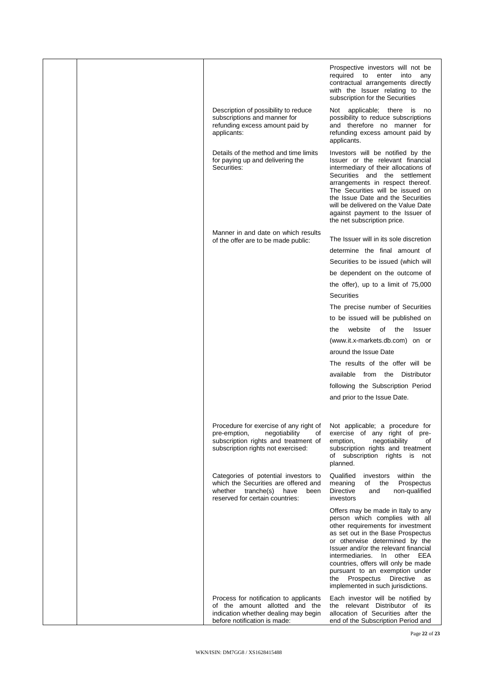|  |                                                                                                                                                             | Prospective investors will not be<br>required to enter<br>into<br>any<br>contractual arrangements directly<br>with the Issuer relating to the<br>subscription for the Securities                                                                                                                                                                                                                             |
|--|-------------------------------------------------------------------------------------------------------------------------------------------------------------|--------------------------------------------------------------------------------------------------------------------------------------------------------------------------------------------------------------------------------------------------------------------------------------------------------------------------------------------------------------------------------------------------------------|
|  | Description of possibility to reduce<br>subscriptions and manner for<br>refunding excess amount paid by<br>applicants:                                      | Not applicable; there is no<br>possibility to reduce subscriptions<br>and therefore no manner for<br>refunding excess amount paid by<br>applicants.                                                                                                                                                                                                                                                          |
|  | Details of the method and time limits<br>for paying up and delivering the<br>Securities:                                                                    | Investors will be notified by the<br>Issuer or the relevant financial<br>intermediary of their allocations of<br>Securities and the settlement<br>arrangements in respect thereof.<br>The Securities will be issued on<br>the Issue Date and the Securities<br>will be delivered on the Value Date<br>against payment to the Issuer of<br>the net subscription price.                                        |
|  | Manner in and date on which results<br>of the offer are to be made public:                                                                                  | The Issuer will in its sole discretion<br>determine the final amount of<br>Securities to be issued (which will                                                                                                                                                                                                                                                                                               |
|  |                                                                                                                                                             | be dependent on the outcome of                                                                                                                                                                                                                                                                                                                                                                               |
|  |                                                                                                                                                             | the offer), up to a limit of 75,000                                                                                                                                                                                                                                                                                                                                                                          |
|  |                                                                                                                                                             | <b>Securities</b>                                                                                                                                                                                                                                                                                                                                                                                            |
|  |                                                                                                                                                             | The precise number of Securities                                                                                                                                                                                                                                                                                                                                                                             |
|  |                                                                                                                                                             | to be issued will be published on                                                                                                                                                                                                                                                                                                                                                                            |
|  |                                                                                                                                                             | website<br>of<br>the<br>the<br><b>Issuer</b>                                                                                                                                                                                                                                                                                                                                                                 |
|  |                                                                                                                                                             | (www.it.x-markets.db.com) on or                                                                                                                                                                                                                                                                                                                                                                              |
|  |                                                                                                                                                             | around the Issue Date                                                                                                                                                                                                                                                                                                                                                                                        |
|  |                                                                                                                                                             | The results of the offer will be                                                                                                                                                                                                                                                                                                                                                                             |
|  |                                                                                                                                                             | available from the Distributor                                                                                                                                                                                                                                                                                                                                                                               |
|  |                                                                                                                                                             | following the Subscription Period                                                                                                                                                                                                                                                                                                                                                                            |
|  |                                                                                                                                                             | and prior to the Issue Date.                                                                                                                                                                                                                                                                                                                                                                                 |
|  | Procedure for exercise of any right of<br>negotiability<br>pre-emption,<br>οf<br>subscription rights and treatment of<br>subscription rights not exercised: | Not applicable; a procedure for<br>exercise of any right of pre-<br>negotiability<br>emption,<br>οf<br>subscription rights and treatment<br>of subscription rights is not<br>planned.                                                                                                                                                                                                                        |
|  | Categories of potential investors to<br>which the Securities are offered and<br>whether tranche(s)<br>have<br>been<br>reserved for certain countries:       | Qualified<br>investors<br>within the<br>meaning<br>of the<br>Prospectus<br><b>Directive</b><br>non-qualified<br>and<br>investors                                                                                                                                                                                                                                                                             |
|  |                                                                                                                                                             | Offers may be made in Italy to any<br>person which complies with all<br>other requirements for investment<br>as set out in the Base Prospectus<br>or otherwise determined by the<br>Issuer and/or the relevant financial<br>intermediaries. In other EEA<br>countries, offers will only be made<br>pursuant to an exemption under<br>the Prospectus<br>Directive<br>as<br>implemented in such jurisdictions. |
|  | Process for notification to applicants<br>of the amount allotted and the<br>indication whether dealing may begin<br>before notification is made:            | Each investor will be notified by<br>the relevant Distributor of its<br>allocation of Securities after the<br>end of the Subscription Period and                                                                                                                                                                                                                                                             |